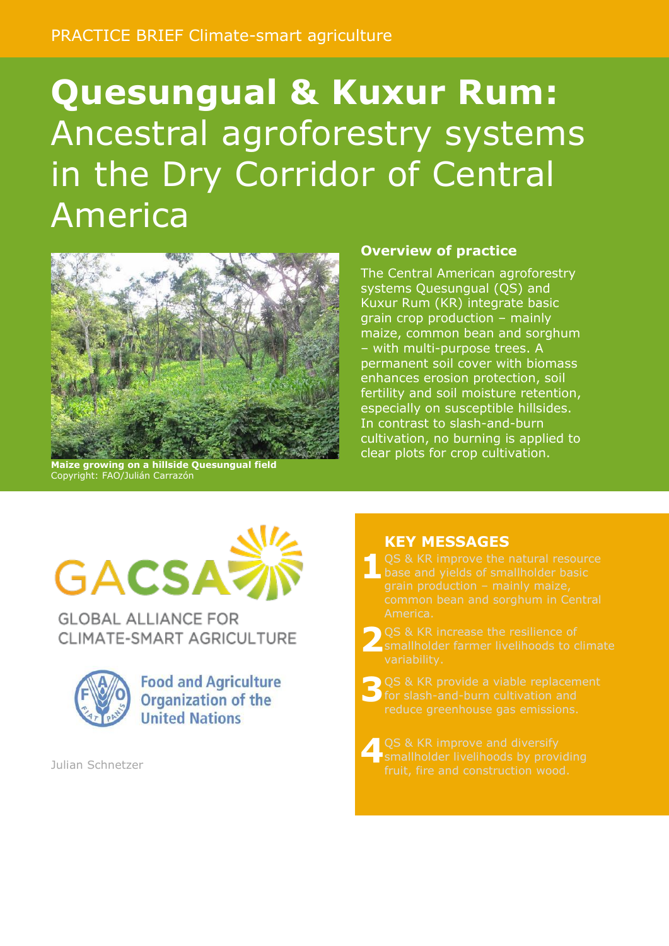# **Quesungual & Kuxur Rum:**  Ancestral agroforestry systems in the Dry Corridor of Central America



**Maize growing on a hillside Quesungual field** Copyright: FAO/Julián Carrazón

#### **Overview of practice**

The Central American agroforestry systems Quesungual (QS) and Kuxur Rum (KR) integrate basic grain crop production – mainly maize, common bean and sorghum – with multi-purpose trees. A permanent soil cover with biomass enhances erosion protection, soil fertility and soil moisture retention, especially on susceptible hillsides. In contrast to slash-and-burn cultivation, no burning is applied to clear plots for crop cultivation.



**GLOBAL ALLIANCE FOR** CLIMATE-SMART AGRICULTURE



**Food and Agriculture Organization of the United Nations** 

Julian Schnetzer

#### **KEY MESSAGES**

- **1**
- **2** smallholder farmer livelihoods to climate variability.
- **3**
- **4**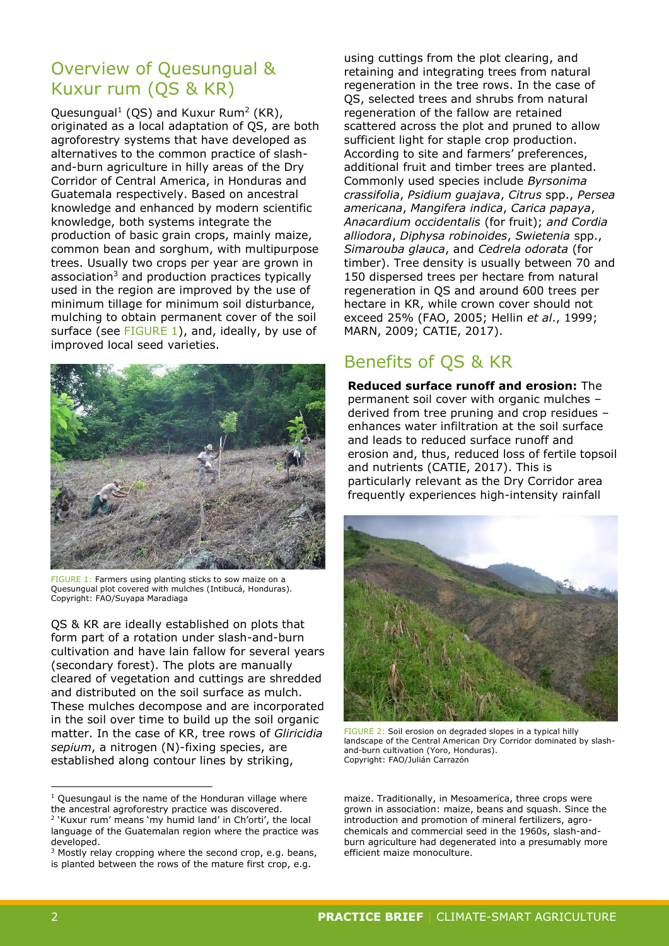## Overview of Quesungual & Kuxur rum (QS & KR)

Quesungual<sup>1</sup> (QS) and Kuxur Rum<sup>2</sup> (KR), originated as a local adaptation of QS, are both agroforestry systems that have developed as alternatives to the common practice of slashand-burn agriculture in hilly areas of the Dry Corridor of Central America, in Honduras and Guatemala respectively. Based on ancestral knowledge and enhanced by modern scientific knowledge, both systems integrate the production of basic grain crops, mainly maize, common bean and sorghum, with multipurpose trees. Usually two crops per year are grown in association<sup>3</sup> and production practices typically used in the region are improved by the use of minimum tillage for minimum soil disturbance, mulching to obtain permanent cover of the soil surface (see [FIGURE](#page-1-0) 1), and, ideally, by use of improved local seed varieties.



FIGURE 1: Farmers using planting sticks to sow maize on a Quesungual plot covered with mulches (Intibucá, Honduras). Copyright: FAO/Suyapa Maradiaga

<span id="page-1-0"></span>QS & KR are ideally established on plots that form part of a rotation under slash-and-burn cultivation and have lain fallow for several years (secondary forest). The plots are manually cleared of vegetation and cuttings are shredded and distributed on the soil surface as mulch. These mulches decompose and are incorporated in the soil over time to build up the soil organic matter. In the case of KR, tree rows of *Gliricidia sepium*, a nitrogen (N)-fixing species, are established along contour lines by striking,

using cuttings from the plot clearing, and retaining and integrating trees from natural regeneration in the tree rows. In the case of QS, selected trees and shrubs from natural regeneration of the fallow are retained scattered across the plot and pruned to allow sufficient light for staple crop production. According to site and farmers' preferences, additional fruit and timber trees are planted. Commonly used species include *Byrsonima crassifolia*, *Psidium guajava*, *Citrus* spp., *Persea americana*, *Mangifera indica*, *Carica papaya*, *Anacardium occidentalis* (for fruit); *and Cordia alliodora*, *Diphysa robinoides*, *Swietenia* spp., *Simarouba glauca*, and *Cedrela odorata* (for timber). Tree density is usually between 70 and 150 dispersed trees per hectare from natural regeneration in QS and around 600 trees per hectare in KR, while crown cover should not exceed 25% (FAO, 2005; Hellin *et al*., 1999; MARN, 2009; CATIE, 2017).

# Benefits of QS & KR

**Reduced surface runoff and erosion:** The permanent soil cover with organic mulches – derived from tree pruning and crop residues – enhances water infiltration at the soil surface and leads to reduced surface runoff and erosion and, thus, reduced loss of fertile topsoil and nutrients (CATIE, 2017). This is particularly relevant as the Dry Corridor area frequently experiences high-intensity rainfall



FIGURE 2: Soil erosion on degraded slopes in a typical hilly landscape of the Central American Dry Corridor dominated by slashand-burn cultivation (Yoro, Honduras). Copyright: FAO/Julián Carrazón

<span id="page-1-1"></span>maize. Traditionally, in Mesoamerica, three crops were grown in association: maize, beans and squash. Since the introduction and promotion of mineral fertilizers, agrochemicals and commercial seed in the 1960s, slash-andburn agriculture had degenerated into a presumably more efficient maize monoculture.

-

 $1$  Quesungaul is the name of the Honduran village where the ancestral agroforestry practice was discovered.

<sup>2</sup> 'Kuxur rum' means 'my humid land' in Ch'orti', the local language of the Guatemalan region where the practice was developed.

<sup>&</sup>lt;sup>3</sup> Mostly relay cropping where the second crop, e.g. beans, is planted between the rows of the mature first crop, e.g.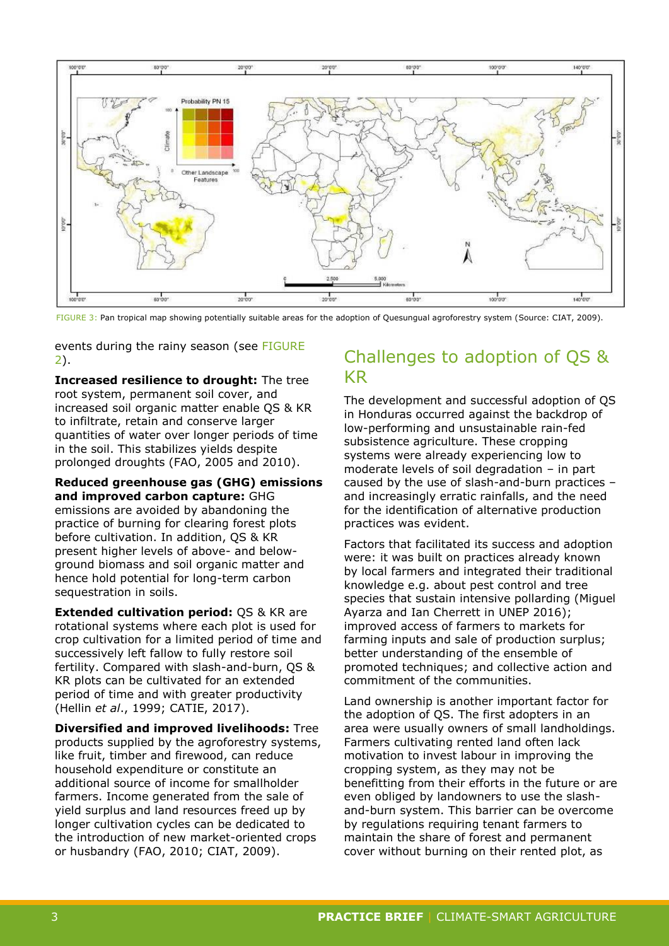

<span id="page-2-0"></span>FIGURE 3: Pan tropical map showing potentially suitable areas for the adoption of Quesungual agroforestry system (Source: CIAT, 2009).

events during the rainy season (see [FIGURE](#page-1-1) [2\)](#page-1-1).

**Increased resilience to drought:** The tree root system, permanent soil cover, and increased soil organic matter enable QS & KR to infiltrate, retain and conserve larger quantities of water over longer periods of time in the soil. This stabilizes yields despite prolonged droughts (FAO, 2005 and 2010).

**Reduced greenhouse gas (GHG) emissions and improved carbon capture:** GHG emissions are avoided by abandoning the practice of burning for clearing forest plots before cultivation. In addition, QS & KR present higher levels of above- and belowground biomass and soil organic matter and hence hold potential for long-term carbon sequestration in soils.

**Extended cultivation period:** QS & KR are rotational systems where each plot is used for crop cultivation for a limited period of time and successively left fallow to fully restore soil fertility. Compared with slash-and-burn, QS & KR plots can be cultivated for an extended period of time and with greater productivity (Hellin *et al*., 1999; CATIE, 2017).

**Diversified and improved livelihoods:** Tree

products supplied by the agroforestry systems, like fruit, timber and firewood, can reduce household expenditure or constitute an additional source of income for smallholder farmers. Income generated from the sale of yield surplus and land resources freed up by longer cultivation cycles can be dedicated to the introduction of new market-oriented crops or husbandry (FAO, 2010; CIAT, 2009).

## Challenges to adoption of QS & KR

The development and successful adoption of QS in Honduras occurred against the backdrop of low-performing and unsustainable rain-fed subsistence agriculture. These cropping systems were already experiencing low to moderate levels of soil degradation – in part caused by the use of slash-and-burn practices – and increasingly erratic rainfalls, and the need for the identification of alternative production practices was evident.

Factors that facilitated its success and adoption were: it was built on practices already known by local farmers and integrated their traditional knowledge e.g. about pest control and tree species that sustain intensive pollarding (Miguel Ayarza and Ian Cherrett in UNEP 2016); improved access of farmers to markets for farming inputs and sale of production surplus; better understanding of the ensemble of promoted techniques; and collective action and commitment of the communities.

Land ownership is another important factor for the adoption of QS. The first adopters in an area were usually owners of small landholdings. Farmers cultivating rented land often lack motivation to invest labour in improving the cropping system, as they may not be benefitting from their efforts in the future or are even obliged by landowners to use the slashand-burn system. This barrier can be overcome by regulations requiring tenant farmers to maintain the share of forest and permanent cover without burning on their rented plot, as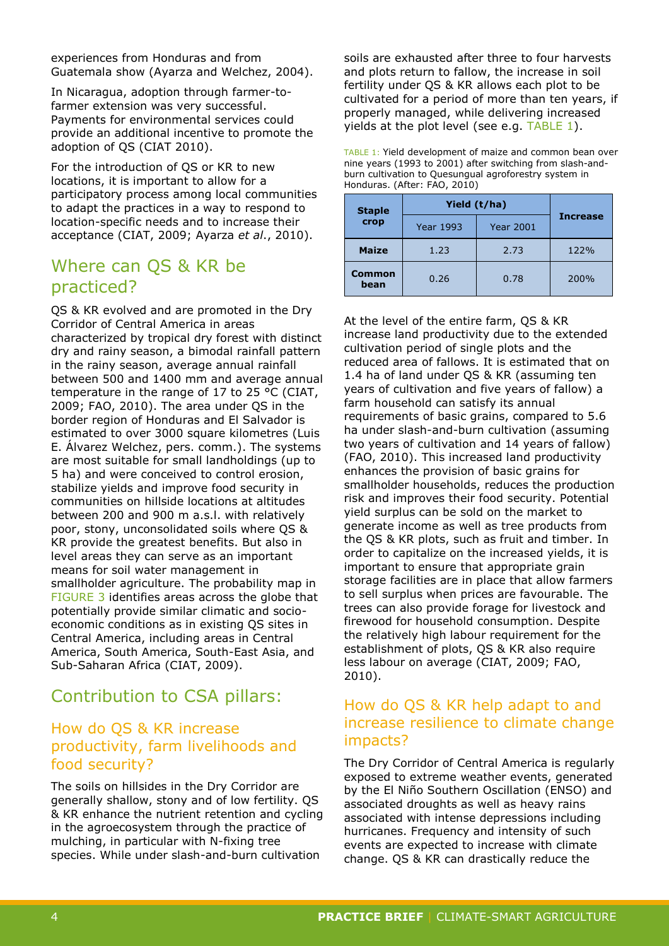experiences from Honduras and from Guatemala show (Ayarza and Welchez, 2004).

In Nicaragua, adoption through farmer-tofarmer extension was very successful. Payments for environmental services could provide an additional incentive to promote the adoption of QS (CIAT 2010).

For the introduction of QS or KR to new locations, it is important to allow for a participatory process among local communities to adapt the practices in a way to respond to location-specific needs and to increase their acceptance (CIAT, 2009; Ayarza *et al*., 2010).

## Where can QS & KR be practiced?

QS & KR evolved and are promoted in the Dry Corridor of Central America in areas characterized by tropical dry forest with distinct dry and rainy season, a bimodal rainfall pattern in the rainy season, average annual rainfall between 500 and 1400 mm and average annual temperature in the range of 17 to 25 °C (CIAT, 2009; FAO, 2010). The area under QS in the border region of Honduras and El Salvador is estimated to over 3000 square kilometres (Luis E. Álvarez Welchez, pers. comm.). The systems are most suitable for small landholdings (up to 5 ha) and were conceived to control erosion, stabilize yields and improve food security in communities on hillside locations at altitudes between 200 and 900 m a.s.l. with relatively poor, stony, unconsolidated soils where QS & KR provide the greatest benefits. But also in level areas they can serve as an important means for soil water management in smallholder agriculture. The probability map in [FIGURE](#page-2-0) 3 identifies areas across the globe that potentially provide similar climatic and socioeconomic conditions as in existing QS sites in Central America, including areas in Central America, South America, South-East Asia, and Sub-Saharan Africa (CIAT, 2009).

# Contribution to CSA pillars:

#### How do QS & KR increase productivity, farm livelihoods and food security?

The soils on hillsides in the Dry Corridor are generally shallow, stony and of low fertility. QS & KR enhance the nutrient retention and cycling in the agroecosystem through the practice of mulching, in particular with N-fixing tree species. While under slash-and-burn cultivation

soils are exhausted after three to four harvests and plots return to fallow, the increase in soil fertility under QS & KR allows each plot to be cultivated for a period of more than ten years, if properly managed, while delivering increased yields at the plot level (see e.g. [TABLE](#page-3-0) 1).

<span id="page-3-0"></span>

| TABLE 1: Yield development of maize and common bean over  |
|-----------------------------------------------------------|
| nine years (1993 to 2001) after switching from slash-and- |
| burn cultivation to Quesungual agroforestry system in     |
| Honduras. (After: FAO, 2010)                              |

| <b>Staple</b>         | Yield (t/ha)     |                  |                 |
|-----------------------|------------------|------------------|-----------------|
| crop                  | <b>Year 1993</b> | <b>Year 2001</b> | <b>Increase</b> |
| <b>Maize</b>          | 1.23             | 2.73             | 122%            |
| <b>Common</b><br>bean | 0.26             | 0.78             | 200%            |

At the level of the entire farm, QS & KR increase land productivity due to the extended cultivation period of single plots and the reduced area of fallows. It is estimated that on 1.4 ha of land under QS & KR (assuming ten years of cultivation and five years of fallow) a farm household can satisfy its annual requirements of basic grains, compared to 5.6 ha under slash-and-burn cultivation (assuming two years of cultivation and 14 years of fallow) (FAO, 2010). This increased land productivity enhances the provision of basic grains for smallholder households, reduces the production risk and improves their food security. Potential yield surplus can be sold on the market to generate income as well as tree products from the QS & KR plots, such as fruit and timber. In order to capitalize on the increased yields, it is important to ensure that appropriate grain storage facilities are in place that allow farmers to sell surplus when prices are favourable. The trees can also provide forage for livestock and firewood for household consumption. Despite the relatively high labour requirement for the establishment of plots, QS & KR also require less labour on average (CIAT, 2009; FAO, 2010).

#### How do QS & KR help adapt to and increase resilience to climate change impacts?

The Dry Corridor of Central America is regularly exposed to extreme weather events, generated by the El Niño Southern Oscillation (ENSO) and associated droughts as well as heavy rains associated with intense depressions including hurricanes. Frequency and intensity of such events are expected to increase with climate change. QS & KR can drastically reduce the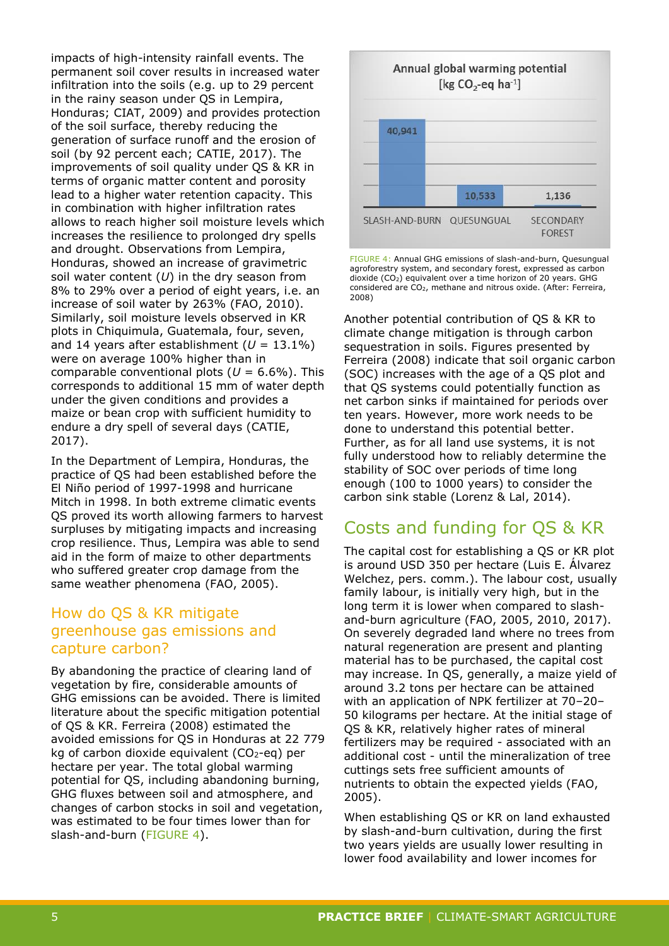impacts of high-intensity rainfall events. The permanent soil cover results in increased water infiltration into the soils (e.g. up to 29 percent in the rainy season under QS in Lempira, Honduras; CIAT, 2009) and provides protection of the soil surface, thereby reducing the generation of surface runoff and the erosion of soil (by 92 percent each; CATIE, 2017). The improvements of soil quality under QS & KR in terms of organic matter content and porosity lead to a higher water retention capacity. This in combination with higher infiltration rates allows to reach higher soil moisture levels which increases the resilience to prolonged dry spells and drought. Observations from Lempira, Honduras, showed an increase of gravimetric soil water content (*U*) in the dry season from 8% to 29% over a period of eight years, i.e. an increase of soil water by 263% (FAO, 2010). Similarly, soil moisture levels observed in KR plots in Chiquimula, Guatemala, four, seven, and 14 years after establishment  $(U = 13.1\%)$ were on average 100% higher than in comparable conventional plots  $(U = 6.6\%)$ . This corresponds to additional 15 mm of water depth under the given conditions and provides a maize or bean crop with sufficient humidity to endure a dry spell of several days (CATIE, 2017).

In the Department of Lempira, Honduras, the practice of QS had been established before the El Niño period of 1997-1998 and hurricane Mitch in 1998. In both extreme climatic events QS proved its worth allowing farmers to harvest surpluses by mitigating impacts and increasing crop resilience. Thus, Lempira was able to send aid in the form of maize to other departments who suffered greater crop damage from the same weather phenomena (FAO, 2005).

#### How do QS & KR mitigate greenhouse gas emissions and capture carbon?

By abandoning the practice of clearing land of vegetation by fire, considerable amounts of GHG emissions can be avoided. There is limited literature about the specific mitigation potential of QS & KR. Ferreira (2008) estimated the avoided emissions for QS in Honduras at 22 779 kg of carbon dioxide equivalent  $(CO<sub>2</sub>-eq)$  per hectare per year. The total global warming potential for QS, including abandoning burning, GHG fluxes between soil and atmosphere, and changes of carbon stocks in soil and vegetation, was estimated to be four times lower than for slash-and-burn [\(FIGURE](#page-4-0) 4).



<span id="page-4-0"></span>FIGURE 4: Annual GHG emissions of slash-and-burn, Quesungual agroforestry system, and secondary forest, expressed as carbon dioxide  $(CO<sub>2</sub>)$  equivalent over a time horizon of 20 years. GHG considered are CO2, methane and nitrous oxide. (After: Ferreira, 2008)

Another potential contribution of QS & KR to climate change mitigation is through carbon sequestration in soils. Figures presented by Ferreira (2008) indicate that soil organic carbon (SOC) increases with the age of a QS plot and that QS systems could potentially function as net carbon sinks if maintained for periods over ten years. However, more work needs to be done to understand this potential better. Further, as for all land use systems, it is not fully understood how to reliably determine the stability of SOC over periods of time long enough (100 to 1000 years) to consider the carbon sink stable (Lorenz & Lal, 2014).

# Costs and funding for QS & KR

The capital cost for establishing a QS or KR plot is around USD 350 per hectare (Luis E. Álvarez Welchez, pers. comm.). The labour cost, usually family labour, is initially very high, but in the long term it is lower when compared to slashand-burn agriculture (FAO, 2005, 2010, 2017). On severely degraded land where no trees from natural regeneration are present and planting material has to be purchased, the capital cost may increase. In QS, generally, a maize yield of around 3.2 tons per hectare can be attained with an application of NPK fertilizer at 70–20– 50 kilograms per hectare. At the initial stage of QS & KR, relatively higher rates of mineral fertilizers may be required - associated with an additional cost - until the mineralization of tree cuttings sets free sufficient amounts of nutrients to obtain the expected yields (FAO, 2005).

When establishing QS or KR on land exhausted by slash-and-burn cultivation, during the first two years yields are usually lower resulting in lower food availability and lower incomes for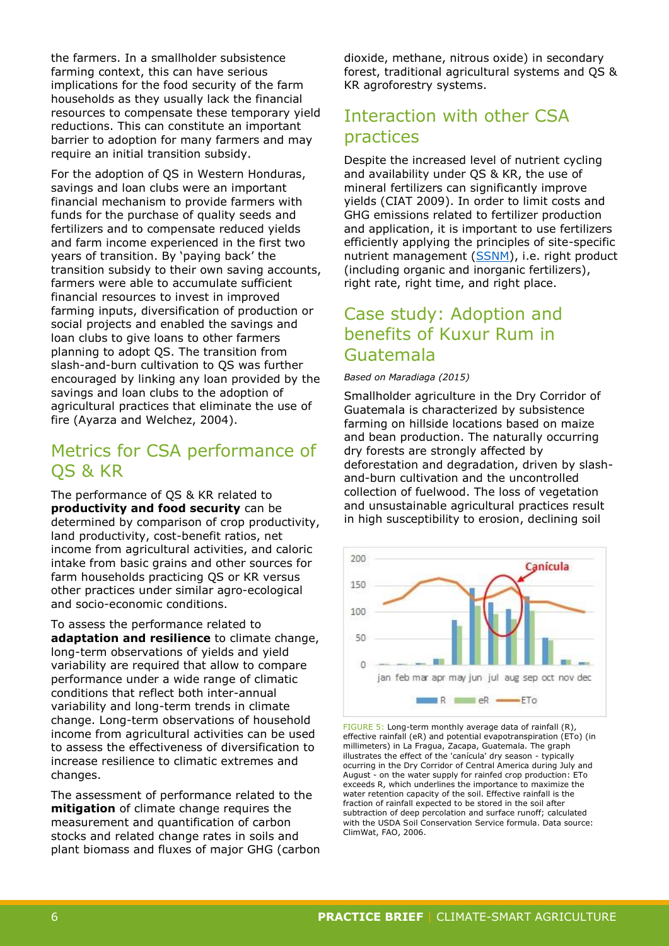the farmers. In a smallholder subsistence farming context, this can have serious implications for the food security of the farm households as they usually lack the financial resources to compensate these temporary yield reductions. This can constitute an important barrier to adoption for many farmers and may require an initial transition subsidy.

For the adoption of QS in Western Honduras, savings and loan clubs were an important financial mechanism to provide farmers with funds for the purchase of quality seeds and fertilizers and to compensate reduced yields and farm income experienced in the first two years of transition. By 'paying back' the transition subsidy to their own saving accounts, farmers were able to accumulate sufficient financial resources to invest in improved farming inputs, diversification of production or social projects and enabled the savings and loan clubs to give loans to other farmers planning to adopt QS. The transition from slash-and-burn cultivation to QS was further encouraged by linking any loan provided by the savings and loan clubs to the adoption of agricultural practices that eliminate the use of fire (Ayarza and Welchez, 2004).

## Metrics for CSA performance of QS & KR

The performance of QS & KR related to **productivity and food security** can be determined by comparison of crop productivity, land productivity, cost-benefit ratios, net income from agricultural activities, and caloric intake from basic grains and other sources for farm households practicing QS or KR versus other practices under similar agro-ecological and socio-economic conditions.

To assess the performance related to **adaptation and resilience** to climate change, long-term observations of yields and yield variability are required that allow to compare performance under a wide range of climatic conditions that reflect both inter-annual variability and long-term trends in climate change. Long-term observations of household income from agricultural activities can be used to assess the effectiveness of diversification to increase resilience to climatic extremes and changes.

The assessment of performance related to the **mitigation** of climate change requires the measurement and quantification of carbon stocks and related change rates in soils and plant biomass and fluxes of major GHG (carbon dioxide, methane, nitrous oxide) in secondary forest, traditional agricultural systems and QS & KR agroforestry systems.

## Interaction with other CSA practices

Despite the increased level of nutrient cycling and availability under QS & KR, the use of mineral fertilizers can significantly improve yields (CIAT 2009). In order to limit costs and GHG emissions related to fertilizer production and application, it is important to use fertilizers efficiently applying the principles of site-specific nutrient management [\(SSNM\)](https://cgspace.cgiar.org/bitstream/handle/10568/69016/CCAFSpbNutrient.pdf), i.e. right product (including organic and inorganic fertilizers), right rate, right time, and right place.

### Case study: Adoption and benefits of Kuxur Rum in Guatemala

#### *Based on Maradiaga (2015)*

Smallholder agriculture in the Dry Corridor of Guatemala is characterized by subsistence farming on hillside locations based on maize and bean production. The naturally occurring dry forests are strongly affected by deforestation and degradation, driven by slashand-burn cultivation and the uncontrolled collection of fuelwood. The loss of vegetation and unsustainable agricultural practices result in high susceptibility to erosion, declining soil



<span id="page-5-0"></span>FIGURE 5: Long-term monthly average data of rainfall (R), effective rainfall (eR) and potential evapotranspiration (ETo) (in millimeters) in La Fragua, Zacapa, Guatemala. The graph illustrates the effect of the 'canícula' dry season - typically ocurring in the Dry Corridor of Central America during July and August - on the water supply for rainfed crop production: ETo exceeds R, which underlines the importance to maximize the water retention capacity of the soil. Effective rainfall is the fraction of rainfall expected to be stored in the soil after subtraction of deep percolation and surface runoff; calculated with the USDA Soil Conservation Service formula. Data source: ClimWat, FAO, 2006.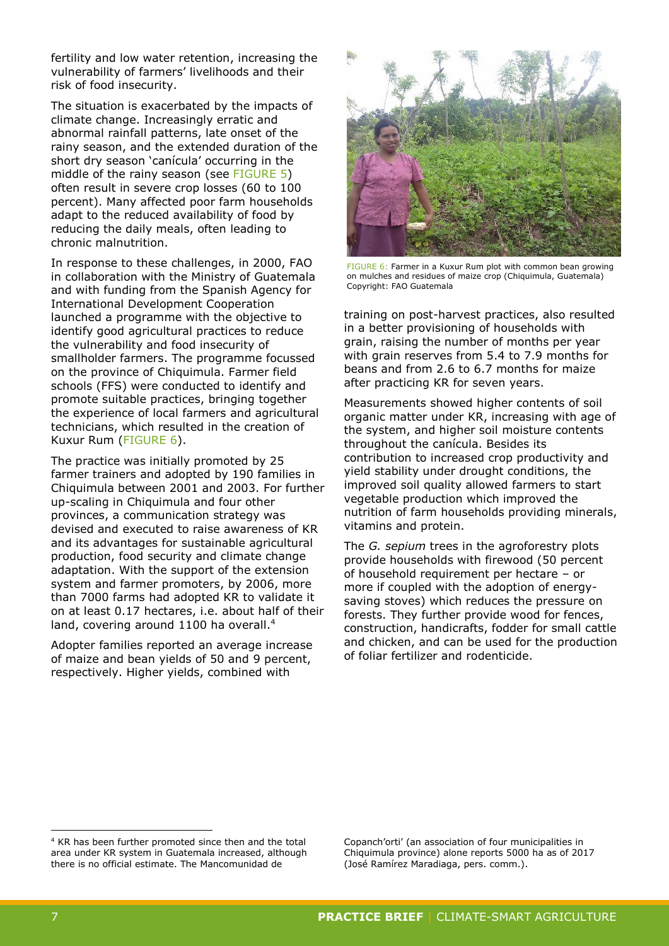fertility and low water retention, increasing the vulnerability of farmers' livelihoods and their risk of food insecurity.

The situation is exacerbated by the impacts of climate change. Increasingly erratic and abnormal rainfall patterns, late onset of the rainy season, and the extended duration of the short dry season 'canícula' occurring in the middle of the rainy season (see [FIGURE 5\)](#page-5-0) often result in severe crop losses (60 to 100 percent). Many affected poor farm households adapt to the reduced availability of food by reducing the daily meals, often leading to chronic malnutrition.

In response to these challenges, in 2000, FAO in collaboration with the Ministry of Guatemala and with funding from the Spanish Agency for International Development Cooperation launched a programme with the objective to identify good agricultural practices to reduce the vulnerability and food insecurity of smallholder farmers. The programme focussed on the province of Chiquimula. Farmer field schools (FFS) were conducted to identify and promote suitable practices, bringing together the experience of local farmers and agricultural technicians, which resulted in the creation of Kuxur Rum [\(FIGURE 6\)](#page-6-0).

The practice was initially promoted by 25 farmer trainers and adopted by 190 families in Chiquimula between 2001 and 2003. For further up-scaling in Chiquimula and four other provinces, a communication strategy was devised and executed to raise awareness of KR and its advantages for sustainable agricultural production, food security and climate change adaptation. With the support of the extension system and farmer promoters, by 2006, more than 7000 farms had adopted KR to validate it on at least 0.17 hectares, i.e. about half of their land, covering around 1100 ha overall.<sup>4</sup>

Adopter families reported an average increase of maize and bean yields of 50 and 9 percent, respectively. Higher yields, combined with



FIGURE 6: Farmer in a Kuxur Rum plot with common bean growing on mulches and residues of maize crop (Chiquimula, Guatemala) Copyright: FAO Guatemala

<span id="page-6-0"></span>training on post-harvest practices, also resulted in a better provisioning of households with grain, raising the number of months per year with grain reserves from 5.4 to 7.9 months for beans and from 2.6 to 6.7 months for maize after practicing KR for seven years.

Measurements showed higher contents of soil organic matter under KR, increasing with age of the system, and higher soil moisture contents throughout the canícula. Besides its contribution to increased crop productivity and yield stability under drought conditions, the improved soil quality allowed farmers to start vegetable production which improved the nutrition of farm households providing minerals, vitamins and protein.

The *G. sepium* trees in the agroforestry plots provide households with firewood (50 percent of household requirement per hectare – or more if coupled with the adoption of energysaving stoves) which reduces the pressure on forests. They further provide wood for fences, construction, handicrafts, fodder for small cattle and chicken, and can be used for the production of foliar fertilizer and rodenticide.

Copanch'orti' (an association of four municipalities in Chiquimula province) alone reports 5000 ha as of 2017 (José Ramírez Maradiaga, pers. comm.).

-

<sup>4</sup> KR has been further promoted since then and the total area under KR system in Guatemala increased, although there is no official estimate. The Mancomunidad de